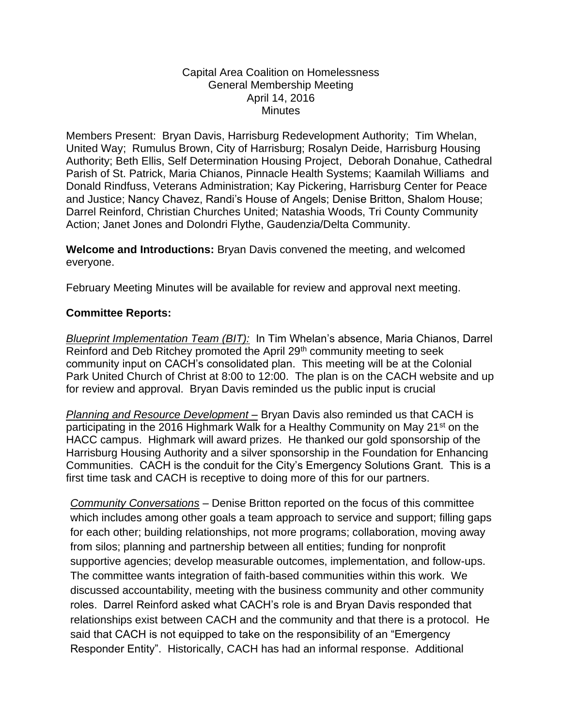## Capital Area Coalition on Homelessness General Membership Meeting April 14, 2016 **Minutes**

Members Present: Bryan Davis, Harrisburg Redevelopment Authority; Tim Whelan, United Way; Rumulus Brown, City of Harrisburg; Rosalyn Deide, Harrisburg Housing Authority; Beth Ellis, Self Determination Housing Project, Deborah Donahue, Cathedral Parish of St. Patrick, Maria Chianos, Pinnacle Health Systems; Kaamilah Williams and Donald Rindfuss, Veterans Administration; Kay Pickering, Harrisburg Center for Peace and Justice; Nancy Chavez, Randi's House of Angels; Denise Britton, Shalom House; Darrel Reinford, Christian Churches United; Natashia Woods, Tri County Community Action; Janet Jones and Dolondri Flythe, Gaudenzia/Delta Community.

**Welcome and Introductions:** Bryan Davis convened the meeting, and welcomed everyone.

February Meeting Minutes will be available for review and approval next meeting.

## **Committee Reports:**

*Blueprint Implementation Team (BIT):* In Tim Whelan's absence, Maria Chianos, Darrel Reinford and Deb Ritchey promoted the April 29<sup>th</sup> community meeting to seek community input on CACH's consolidated plan. This meeting will be at the Colonial Park United Church of Christ at 8:00 to 12:00. The plan is on the CACH website and up for review and approval. Bryan Davis reminded us the public input is crucial

*Planning and Resource Development –* Bryan Davis also reminded us that CACH is participating in the 2016 Highmark Walk for a Healthy Community on May 21<sup>st</sup> on the HACC campus. Highmark will award prizes. He thanked our gold sponsorship of the Harrisburg Housing Authority and a silver sponsorship in the Foundation for Enhancing Communities. CACH is the conduit for the City's Emergency Solutions Grant. This is a first time task and CACH is receptive to doing more of this for our partners.

*Community Conversations* – Denise Britton reported on the focus of this committee which includes among other goals a team approach to service and support; filling gaps for each other; building relationships, not more programs; collaboration, moving away from silos; planning and partnership between all entities; funding for nonprofit supportive agencies; develop measurable outcomes, implementation, and follow-ups. The committee wants integration of faith-based communities within this work. We discussed accountability, meeting with the business community and other community roles. Darrel Reinford asked what CACH's role is and Bryan Davis responded that relationships exist between CACH and the community and that there is a protocol. He said that CACH is not equipped to take on the responsibility of an "Emergency Responder Entity". Historically, CACH has had an informal response. Additional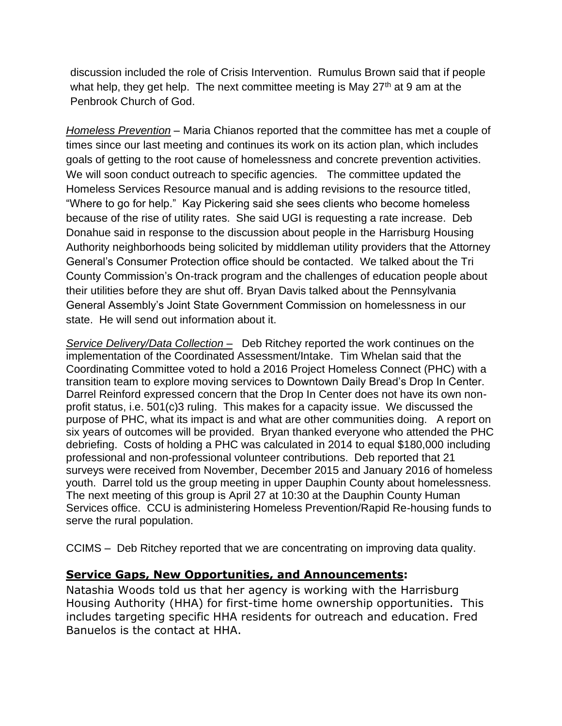discussion included the role of Crisis Intervention. Rumulus Brown said that if people what help, they get help. The next committee meeting is May  $27<sup>th</sup>$  at 9 am at the Penbrook Church of God.

*Homeless Prevention* – Maria Chianos reported that the committee has met a couple of times since our last meeting and continues its work on its action plan, which includes goals of getting to the root cause of homelessness and concrete prevention activities. We will soon conduct outreach to specific agencies. The committee updated the Homeless Services Resource manual and is adding revisions to the resource titled, "Where to go for help." Kay Pickering said she sees clients who become homeless because of the rise of utility rates. She said UGI is requesting a rate increase. Deb Donahue said in response to the discussion about people in the Harrisburg Housing Authority neighborhoods being solicited by middleman utility providers that the Attorney General's Consumer Protection office should be contacted. We talked about the Tri County Commission's On-track program and the challenges of education people about their utilities before they are shut off. Bryan Davis talked about the Pennsylvania General Assembly's Joint State Government Commission on homelessness in our state. He will send out information about it.

*Service Delivery/Data Collection –* Deb Ritchey reported the work continues on the implementation of the Coordinated Assessment/Intake. Tim Whelan said that the Coordinating Committee voted to hold a 2016 Project Homeless Connect (PHC) with a transition team to explore moving services to Downtown Daily Bread's Drop In Center. Darrel Reinford expressed concern that the Drop In Center does not have its own nonprofit status, i.e. 501(c)3 ruling. This makes for a capacity issue. We discussed the purpose of PHC, what its impact is and what are other communities doing. A report on six years of outcomes will be provided. Bryan thanked everyone who attended the PHC debriefing. Costs of holding a PHC was calculated in 2014 to equal \$180,000 including professional and non-professional volunteer contributions. Deb reported that 21 surveys were received from November, December 2015 and January 2016 of homeless youth. Darrel told us the group meeting in upper Dauphin County about homelessness. The next meeting of this group is April 27 at 10:30 at the Dauphin County Human Services office. CCU is administering Homeless Prevention/Rapid Re-housing funds to serve the rural population.

CCIMS – Deb Ritchey reported that we are concentrating on improving data quality.

## **Service Gaps, New Opportunities, and Announcements:**

Natashia Woods told us that her agency is working with the Harrisburg Housing Authority (HHA) for first-time home ownership opportunities. This includes targeting specific HHA residents for outreach and education. Fred Banuelos is the contact at HHA.